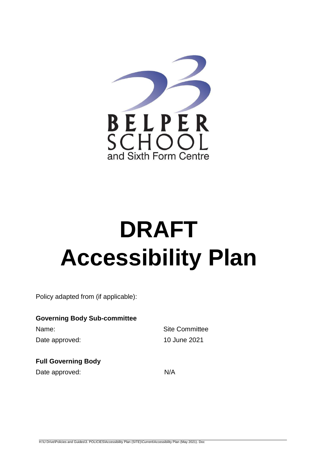

# **DRAFT Accessibility Plan**

Policy adapted from (if applicable):

## **Governing Body Sub-committee**

Name: Site Committee Date approved: 10 June 2021

## **Full Governing Body**

Date approved: N/A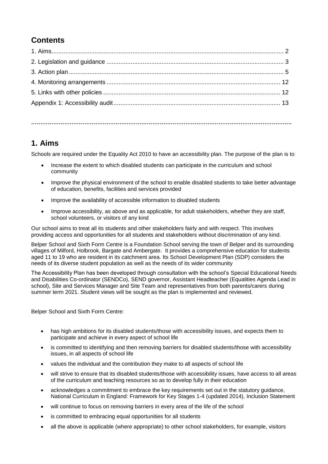## **Contents**

**…………………………………………………………………………………………………………………………….**

## **1. Aims**

Schools are required under the Equality Act 2010 to have an accessibility plan. The purpose of the plan is to:

- Increase the extent to which disabled students can participate in the curriculum and school community
- Improve the physical environment of the school to enable disabled students to take better advantage of education, benefits, facilities and services provided
- Improve the availability of accessible information to disabled students
- Improve accessibility, as above and as applicable, for adult stakeholders, whether they are staff, school volunteers, or visitors of any kind

Our school aims to treat all its students and other stakeholders fairly and with respect. This involves providing access and opportunities for all students and stakeholders without discrimination of any kind.

Belper School and Sixth Form Centre is a Foundation School serving the town of Belper and its surrounding villages of Milford, Holbrook, Bargate and Ambergate. It provides a comprehensive education for students aged 11 to 19 who are resident in its catchment area. Its School Development Plan (SDP) considers the needs of its diverse student population as well as the needs of its wider community

The Accessibility Plan has been developed through consultation with the school's Special Educational Needs and Disabilities Co-ordinator (SENDCo), SEND governor, Assistant Headteacher (Equalities Agenda Lead in school), Site and Services Manager and Site Team and representatives from both parents/carers during summer term 2021. Student views will be sought as the plan is implemented and reviewed.

Belper School and Sixth Form Centre:

- has high ambitions for its disabled students/those with accessibility issues, and expects them to participate and achieve in every aspect of school life
- is committed to identifying and then removing barriers for disabled students/those with accessibility issues, in all aspects of school life
- values the individual and the contribution they make to all aspects of school life
- will strive to ensure that its disabled students/those with accessibility issues, have access to all areas of the curriculum and teaching resources so as to develop fully in their education
- acknowledges a commitment to embrace the key requirements set out in the statutory guidance, National Curriculum in England: Framework for Key Stages 1-4 (updated 2014), Inclusion Statement
- will continue to focus on removing barriers in every area of the life of the school
- is committed to embracing equal opportunities for all students
- all the above is applicable (where appropriate) to other school stakeholders, for example, visitors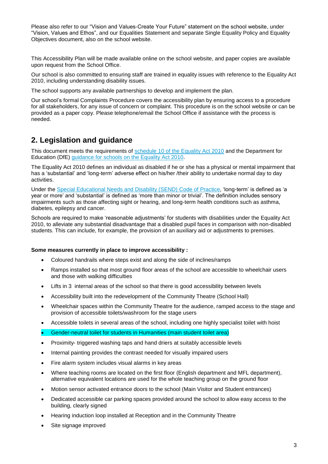Please also refer to our "Vision and Values-Create Your Future" statement on the school website, under "Vision, Values and Ethos", and our Equalities Statement and separate Single Equality Policy and Equality Objectives document, also on the school website.

This Accessibility Plan will be made available online on the school website, and paper copies are available upon request from the School Office.

Our school is also committed to ensuring staff are trained in equality issues with reference to the Equality Act 2010, including understanding disability issues.

The school supports any available partnerships to develop and implement the plan.

Our school's formal Complaints Procedure covers the accessibility plan by ensuring access to a procedure for all stakeholders, for any issue of concern or complaint. This procedure is on the school website or can be provided as a paper copy. Please telephone/email the School Office if assistance with the process is needed.

## **2. Legislation and guidance**

This document meets the requirements of [schedule 10 of the Equality Act 2010](http://www.legislation.gov.uk/ukpga/2010/15/schedule/10) and the Department for Education (DfE) [guidance for schools on the Equality Act 2010.](https://www.gov.uk/government/publications/equality-act-2010-advice-for-schools)

The Equality Act 2010 defines an individual as disabled if he or she has a physical or mental impairment that has a 'substantial' and 'long-term' adverse effect on his/her /their ability to undertake normal day to day activities.

Under the [Special Educational Needs and Disability \(SEND\) Code of Practice,](https://www.gov.uk/government/publications/send-code-of-practice-0-to-25) 'long-term' is defined as 'a year or more' and 'substantial' is defined as 'more than minor or trivial'. The definition includes sensory impairments such as those affecting sight or hearing, and long-term health conditions such as asthma, diabetes, epilepsy and cancer.

Schools are required to make 'reasonable adjustments' for students with disabilities under the Equality Act 2010, to alleviate any substantial disadvantage that a disabled pupil faces in comparison with non-disabled students. This can include, for example, the provision of an auxiliary aid or adjustments to premises.

#### **Some measures currently in place to improve accessibility :**

- Coloured handrails where steps exist and along the side of inclines/ramps
- Ramps installed so that most ground floor areas of the school are accessible to wheelchair users and those with walking difficulties
- Lifts in 3 internal areas of the school so that there is good accessibility between levels
- Accessibility built into the redevelopment of the Community Theatre (School Hall)
- Wheelchair spaces within the Community Theatre for the audience, ramped access to the stage and provision of accessible toilets/washroom for the stage users
- Accessible toilets in several areas of the school, including one highly specialist toilet with hoist
- Gender-neutral toilet for students in Humanities (main student toilet area)
- Proximity- triggered washing taps and hand driers at suitably accessible levels
- Internal painting provides the contrast needed for visually impaired users
- Fire alarm system includes visual alarms in key areas
- Where teaching rooms are located on the first floor (English department and MFL department), alternative equivalent locations are used for the whole teaching group on the ground floor
- Motion sensor activated entrance doors to the school (Main Visitor and Student entrances)
- Dedicated accessible car parking spaces provided around the school to allow easy access to the building, clearly signed
- Hearing induction loop installed at Reception and in the Community Theatre
- Site signage improved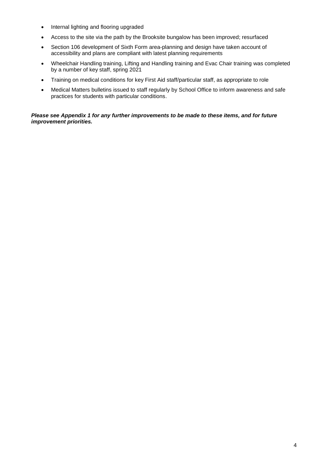- Internal lighting and flooring upgraded
- Access to the site via the path by the Brooksite bungalow has been improved; resurfaced
- Section 106 development of Sixth Form area-planning and design have taken account of accessibility and plans are compliant with latest planning requirements
- Wheelchair Handling training, Lifting and Handling training and Evac Chair training was completed by a number of key staff, spring 2021
- Training on medical conditions for key First Aid staff/particular staff, as appropriate to role
- Medical Matters bulletins issued to staff regularly by School Office to inform awareness and safe practices for students with particular conditions.

#### *Please see Appendix 1 for any further improvements to be made to these items, and for future improvement priorities.*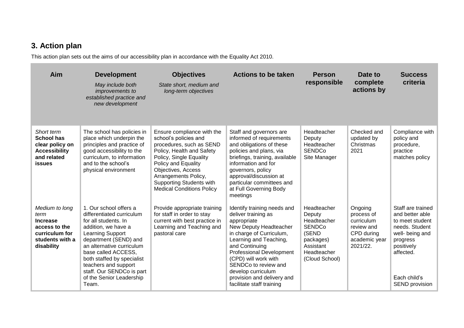# **3. Action plan**

m.

This action plan sets out the aims of our accessibility plan in accordance with the Equality Act 2010.

| Aim                                                                                                           | <b>Development</b><br>May include both<br><i>improvements to</i><br>established practice and<br>new development                                                                                                                                                                                                             | <b>Objectives</b><br>State short, medium and<br>long-term objectives                                                                                                                                                                                                                | <b>Actions to be taken</b>                                                                                                                                                                                                                                                                                                              | <b>Person</b><br>responsible                                                                                              | Date to<br>complete<br>actions by                                                            | <b>Success</b><br>criteria                                                                                                                                            |
|---------------------------------------------------------------------------------------------------------------|-----------------------------------------------------------------------------------------------------------------------------------------------------------------------------------------------------------------------------------------------------------------------------------------------------------------------------|-------------------------------------------------------------------------------------------------------------------------------------------------------------------------------------------------------------------------------------------------------------------------------------|-----------------------------------------------------------------------------------------------------------------------------------------------------------------------------------------------------------------------------------------------------------------------------------------------------------------------------------------|---------------------------------------------------------------------------------------------------------------------------|----------------------------------------------------------------------------------------------|-----------------------------------------------------------------------------------------------------------------------------------------------------------------------|
| Short term<br><b>School has</b><br>clear policy on<br><b>Accessibility</b><br>and related<br><b>issues</b>    | The school has policies in<br>place which underpin the<br>principles and practice of<br>good accessibility to the<br>curriculum, to information<br>and to the school's<br>physical environment                                                                                                                              | Ensure compliance with the<br>school's policies and<br>procedures, such as SEND<br>Policy, Health and Safety<br>Policy, Single Equality<br>Policy and Equality<br>Objectives, Access<br>Arrangements Policy,<br><b>Supporting Students with</b><br><b>Medical Conditions Policy</b> | Staff and governors are<br>informed of requirements<br>and obligations of these<br>policies and plans, via<br>briefings, training, available<br>information and for<br>governors, policy<br>approval/discussion at<br>particular committees and<br>at Full Governing Body<br>meetings                                                   | Headteacher<br>Deputy<br>Headteacher<br><b>SENDCo</b><br>Site Manager                                                     | Checked and<br>updated by<br>Christmas<br>2021                                               | Compliance with<br>policy and<br>procedure,<br>practice<br>matches policy                                                                                             |
| Medium to long<br>term<br><b>Increase</b><br>access to the<br>curriculum for<br>students with a<br>disability | 1. Our school offers a<br>differentiated curriculum<br>for all students. In<br>addition, we have a<br>Learning Support<br>department (SEND) and<br>an alternative curriculum<br>base called ACCESS,<br>both staffed by specialist<br>teachers and support<br>staff. Our SENDCo is part<br>of the Senior Leadership<br>Team. | Provide appropriate training<br>for staff in order to stay<br>current with best practice in<br>Learning and Teaching and<br>pastoral care                                                                                                                                           | Identify training needs and<br>deliver training as<br>appropriate<br>New Deputy Headteacher<br>in charge of Curriculum,<br>Learning and Teaching,<br>and Continuing<br><b>Professional Development</b><br>(CPD) will work with<br>SENDCo to review and<br>develop curriculum<br>provision and delivery and<br>facilitate staff training | Headteacher<br>Deputy<br>Headteacher<br><b>SENDCo</b><br>(SEND<br>packages)<br>Assistant<br>Headteacher<br>(Cloud School) | Ongoing<br>process of<br>curriculum<br>review and<br>CPD during<br>academic year<br>2021/22. | Staff are trained<br>and better able<br>to meet student<br>needs. Student<br>well- being and<br>progress<br>positively<br>affected.<br>Each child's<br>SEND provision |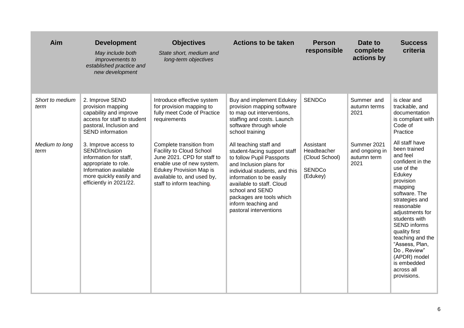| Aim                     | <b>Development</b><br>May include both<br><i>improvements to</i><br>established practice and<br>new development                                                         | <b>Objectives</b><br>State short, medium and<br>long-term objectives                                                                                                                                          | <b>Actions to be taken</b>                                                                                                                                                                                                                                                                               | <b>Person</b><br>responsible                                            | Date to<br>complete<br>actions by                    | <b>Success</b><br>criteria                                                                                                                                                                                                                                                                                                                                   |
|-------------------------|-------------------------------------------------------------------------------------------------------------------------------------------------------------------------|---------------------------------------------------------------------------------------------------------------------------------------------------------------------------------------------------------------|----------------------------------------------------------------------------------------------------------------------------------------------------------------------------------------------------------------------------------------------------------------------------------------------------------|-------------------------------------------------------------------------|------------------------------------------------------|--------------------------------------------------------------------------------------------------------------------------------------------------------------------------------------------------------------------------------------------------------------------------------------------------------------------------------------------------------------|
| Short to medium<br>term | 2. Improve SEND<br>provision mapping<br>capability and improve<br>access for staff to student<br>pastoral, Inclusion and<br><b>SEND</b> information                     | Introduce effective system<br>for provision mapping to<br>fully meet Code of Practice<br>requirements                                                                                                         | Buy and implement Edukey<br>provision mapping software<br>to map out interventions,<br>staffing and costs. Launch<br>software through whole<br>school training                                                                                                                                           | <b>SENDCo</b>                                                           | Summer and<br>autumn terms<br>2021                   | is clear and<br>trackable, and<br>documentation<br>is compliant with<br>Code of<br>Practice                                                                                                                                                                                                                                                                  |
| Medium to long<br>term  | 3. Improve access to<br>SEND/Inclusion<br>information for staff,<br>appropriate to role.<br>Information available<br>more quickly easily and<br>efficiently in 2021/22. | Complete transition from<br>Facility to Cloud School<br>June 2021. CPD for staff to<br>enable use of new system.<br><b>Edukey Provision Map is</b><br>available to, and used by,<br>staff to inform teaching. | All teaching staff and<br>student-facing support staff<br>to follow Pupil Passports<br>and Inclusion plans for<br>individual students, and this<br>information to be easily<br>available to staff. Cloud<br>school and SEND<br>packages are tools which<br>inform teaching and<br>pastoral interventions | Assistant<br>Headteacher<br>(Cloud School)<br><b>SENDCo</b><br>(Edukey) | Summer 2021<br>and ongoing in<br>autumn term<br>2021 | All staff have<br>been trained<br>and feel<br>confident in the<br>use of the<br>Edukey<br>provision<br>mapping<br>software. The<br>strategies and<br>reasonable<br>adjustments for<br>students with<br><b>SEND</b> informs<br>quality first<br>teaching and the<br>"Assess, Plan,<br>Do, Review"<br>(APDR) model<br>is embedded<br>across all<br>provisions. |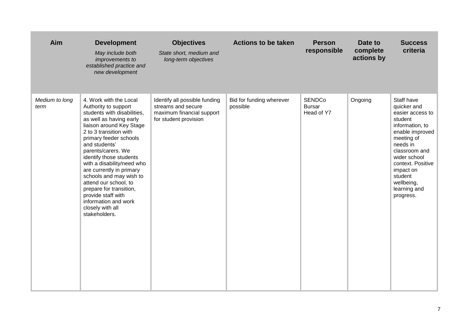| Aim                    | <b>Development</b><br>May include both<br>improvements to<br>established practice and<br>new development                                                                                                                                                                                                                                                                                                                                                                               | <b>Objectives</b><br>State short, medium and<br>long-term objectives                                      | <b>Actions to be taken</b>           | <b>Person</b><br>responsible                 | Date to<br>complete<br>actions by | <b>Success</b><br>criteria                                                                                                                                                                                                                        |
|------------------------|----------------------------------------------------------------------------------------------------------------------------------------------------------------------------------------------------------------------------------------------------------------------------------------------------------------------------------------------------------------------------------------------------------------------------------------------------------------------------------------|-----------------------------------------------------------------------------------------------------------|--------------------------------------|----------------------------------------------|-----------------------------------|---------------------------------------------------------------------------------------------------------------------------------------------------------------------------------------------------------------------------------------------------|
| Medium to long<br>term | 4. Work with the Local<br>Authority to support<br>students with disabilities,<br>as well as having early<br>liaison around Key Stage<br>2 to 3 transition with<br>primary feeder schools<br>and students'<br>parents/carers. We<br>identify those students<br>with a disability/need who<br>are currently in primary<br>schools and may wish to<br>attend our school, to<br>prepare for transition,<br>provide staff with<br>information and work<br>closely with all<br>stakeholders. | Identify all possible funding<br>streams and secure<br>maximum financial support<br>for student provision | Bid for funding wherever<br>possible | <b>SENDCo</b><br><b>Bursar</b><br>Head of Y7 | Ongoing                           | Staff have<br>quicker and<br>easier access to<br>student<br>information, to<br>enable improved<br>meeting of<br>needs in<br>classroom and<br>wider school<br>context. Positive<br>impact on<br>student<br>wellbeing,<br>learning and<br>progress. |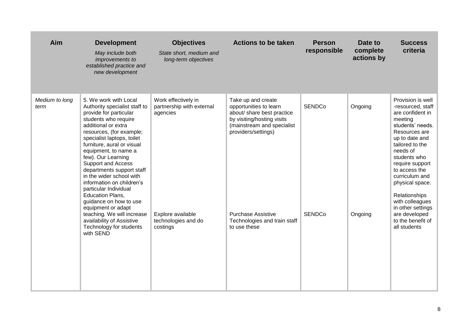| Aim                    | <b>Development</b><br>May include both<br><i>improvements to</i><br>established practice and<br>new development                                                                                                                                                                                                                                                                                                                                                                                                                                                                                 | <b>Objectives</b><br>State short, medium and<br>long-term objectives                                                 | <b>Actions to be taken</b>                                                                                                                                                                                                                 | <b>Person</b><br>responsible   | Date to<br>complete<br>actions by | <b>Success</b><br>criteria                                                                                                                                                                                                                                                                                                                                          |
|------------------------|-------------------------------------------------------------------------------------------------------------------------------------------------------------------------------------------------------------------------------------------------------------------------------------------------------------------------------------------------------------------------------------------------------------------------------------------------------------------------------------------------------------------------------------------------------------------------------------------------|----------------------------------------------------------------------------------------------------------------------|--------------------------------------------------------------------------------------------------------------------------------------------------------------------------------------------------------------------------------------------|--------------------------------|-----------------------------------|---------------------------------------------------------------------------------------------------------------------------------------------------------------------------------------------------------------------------------------------------------------------------------------------------------------------------------------------------------------------|
| Medium to long<br>term | 5. We work with Local<br>Authority specialist staff to<br>provide for particular<br>students who require<br>additional or extra<br>resources, (for example;<br>specialist laptops, toilet<br>furniture, aural or visual<br>equipment, to name a<br>few). Our Learning<br><b>Support and Access</b><br>departments support staff<br>in the wider school with<br>information on children's<br>particular Individual<br><b>Education Plans,</b><br>guidance on how to use<br>equipment or adapt<br>teaching. We will increase<br>availability of Assistive<br>Technology for students<br>with SEND | Work effectively in<br>partnership with external<br>agencies<br>Explore available<br>technologies and do<br>costings | Take up and create<br>opportunities to learn<br>about/ share best practice<br>by visiting/hosting visits<br>(mainstream and specialist<br>providers/settings)<br><b>Purchase Assistive</b><br>Technologies and train staff<br>to use these | <b>SENDCo</b><br><b>SENDCo</b> | Ongoing<br>Ongoing                | Provision is well<br>-resourced, staff<br>are confident in<br>meeting<br>students' needs.<br>Resources are<br>up to date and<br>tailored to the<br>needs of<br>students who<br>require support<br>to access the<br>curriculum and<br>physical space.<br>Relationships<br>with colleagues<br>in other settings<br>are developed<br>to the benefit of<br>all students |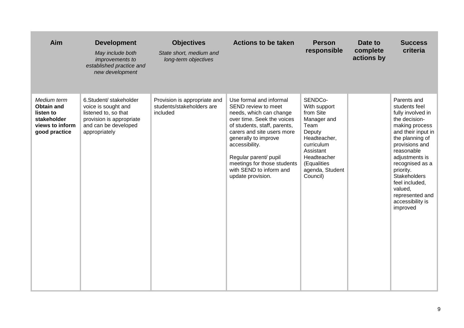| Aim                                                                                              | <b>Development</b><br>May include both<br>improvements to<br>established practice and<br>new development                                   | <b>Objectives</b><br>State short, medium and<br>long-term objectives  | <b>Actions to be taken</b>                                                                                                                                                                                                                                                                                              | <b>Person</b><br>responsible                                                                                                                                                  | Date to<br>complete<br>actions by | <b>Success</b><br>criteria                                                                                                                                                                                                                                                                                             |
|--------------------------------------------------------------------------------------------------|--------------------------------------------------------------------------------------------------------------------------------------------|-----------------------------------------------------------------------|-------------------------------------------------------------------------------------------------------------------------------------------------------------------------------------------------------------------------------------------------------------------------------------------------------------------------|-------------------------------------------------------------------------------------------------------------------------------------------------------------------------------|-----------------------------------|------------------------------------------------------------------------------------------------------------------------------------------------------------------------------------------------------------------------------------------------------------------------------------------------------------------------|
| Medium term<br><b>Obtain and</b><br>listen to<br>stakeholder<br>views to inform<br>good practice | 6.Student/ stakeholder<br>voice is sought and<br>listened to, so that<br>provision is appropriate<br>and can be developed<br>appropriately | Provision is appropriate and<br>students/stakeholders are<br>included | Use formal and informal<br>SEND review to meet<br>needs, which can change<br>over time. Seek the voices<br>of students, staff, parents,<br>carers and site users more<br>generally to improve<br>accessibility.<br>Regular parent/ pupil<br>meetings for those students<br>with SEND to inform and<br>update provision. | SENDCo-<br>With support<br>from Site<br>Manager and<br>Team<br>Deputy<br>Headteacher,<br>curriculum<br>Assistant<br>Headteacher<br>(Equalities<br>agenda, Student<br>Council) |                                   | Parents and<br>students feel<br>fully involved in<br>the decision-<br>making process<br>and their input in<br>the planning of<br>provisions and<br>reasonable<br>adjustments is<br>recognised as a<br>priority.<br><b>Stakeholders</b><br>feel included,<br>valued,<br>represented and<br>accessibility is<br>improved |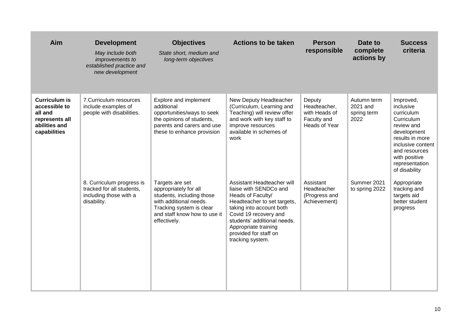| Aim                                                                                                 | <b>Development</b><br>May include both<br>improvements to<br>established practice and<br>new development | <b>Objectives</b><br>State short, medium and<br>long-term objectives                                                                                                        | <b>Actions to be taken</b>                                                                                                                                                                                                                                        | <b>Person</b><br>responsible                                            | Date to<br>complete<br>actions by              | <b>Success</b><br>criteria                                                                                                                                                                   |
|-----------------------------------------------------------------------------------------------------|----------------------------------------------------------------------------------------------------------|-----------------------------------------------------------------------------------------------------------------------------------------------------------------------------|-------------------------------------------------------------------------------------------------------------------------------------------------------------------------------------------------------------------------------------------------------------------|-------------------------------------------------------------------------|------------------------------------------------|----------------------------------------------------------------------------------------------------------------------------------------------------------------------------------------------|
| <b>Curriculum is</b><br>accessible to<br>all and<br>represents all<br>abilities and<br>capabilities | 7. Curriculum resources<br>include examples of<br>people with disabilities.                              | Explore and implement<br>additional<br>opportunities/ways to seek<br>the opinions of students,<br>parents and carers and use<br>these to enhance provision                  | New Deputy Headteacher<br>(Curriculum, Learning and<br>Teaching) will review offer<br>and work with key staff to<br>improve resources<br>available in schemes of<br>work                                                                                          | Deputy<br>Headteacher,<br>with Heads of<br>Faculty and<br>Heads of Year | Autumn term<br>2021 and<br>spring term<br>2022 | Improved,<br>inclusive<br>curriculum<br>Curriculum<br>review and<br>development<br>results in more<br>inclusive content<br>and resources<br>with positive<br>representation<br>of disability |
|                                                                                                     | 8. Curriculum progress is<br>tracked for all students,<br>including those with a<br>disability.          | Targets are set<br>appropriately for all<br>students, including those<br>with additional needs.<br>Tracking system is clear<br>and staff know how to use it<br>effectively. | Assistant Headteacher will<br>liaise with SENDCo and<br>Heads of Faculty/<br>Headteacher to set targets,<br>taking into account both<br>Covid 19 recovery and<br>students' additional needs.<br>Appropriate training<br>provided for staff on<br>tracking system. | Assistant<br>Headteacher<br>(Progress and<br>Achievement)               | Summer 2021<br>to spring 2022                  | Appropriate<br>tracking and<br>targets aid<br>better student<br>progress                                                                                                                     |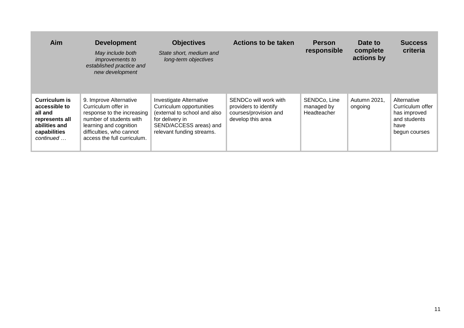| Aim                                                                                                       | <b>Development</b><br>May include both<br><i>improvements to</i><br>established practice and<br>new development                                                                             | <b>Objectives</b><br>State short, medium and<br>long-term objectives                                                                                          | <b>Actions to be taken</b>                                                                   | <b>Person</b><br>responsible              | Date to<br>complete<br>actions by | <b>Success</b><br>criteria                                                               |
|-----------------------------------------------------------------------------------------------------------|---------------------------------------------------------------------------------------------------------------------------------------------------------------------------------------------|---------------------------------------------------------------------------------------------------------------------------------------------------------------|----------------------------------------------------------------------------------------------|-------------------------------------------|-----------------------------------|------------------------------------------------------------------------------------------|
| Curriculum is<br>accessible to<br>all and<br>represents all<br>abilities and<br>capabilities<br>continued | 9. Improve Alternative<br>Curriculum offer in<br>response to the increasing<br>number of students with<br>learning and cognition<br>difficulties, who cannot<br>access the full curriculum. | Investigate Alternative<br>Curriculum opportunities<br>(external to school and also<br>for delivery in<br>SEND/ACCESS areas) and<br>relevant funding streams. | SENDCo will work with<br>providers to identify<br>courses/provision and<br>develop this area | SENDCo, Line<br>managed by<br>Headteacher | Autumn 2021,<br>ongoing           | Alternative<br>Curriculum offer<br>has improved<br>and students<br>have<br>begun courses |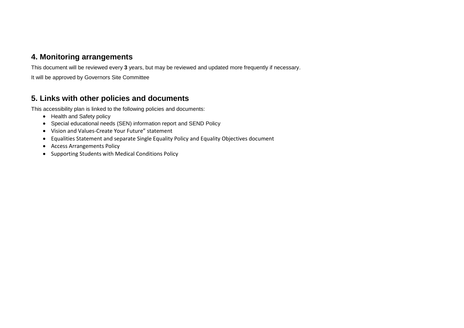### **4. Monitoring arrangements**

This document will be reviewed every **3** years, but may be reviewed and updated more frequently if necessary.

It will be approved by Governors Site Committee

## **5. Links with other policies and documents**

This accessibility plan is linked to the following policies and documents:

- Health and Safety policy
- Special educational needs (SEN) information report and SEND Policy
- Vision and Values-Create Your Future" statement
- Equalities Statement and separate Single Equality Policy and Equality Objectives document
- Access Arrangements Policy
- Supporting Students with Medical Conditions Policy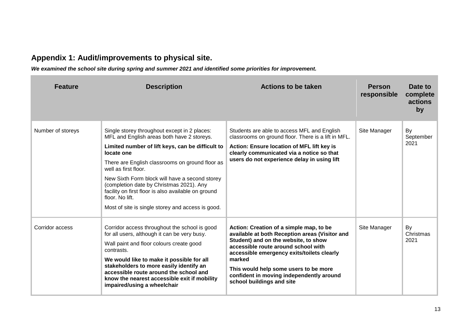# **Appendix 1: Audit/improvements to physical site.**

*We examined the school site during spring and summer 2021 and identified some priorities for improvement.*

| <b>Feature</b>    | <b>Description</b>                                                                                                                                                                                                                                                                                                                                                                                                                                                   | <b>Actions to be taken</b>                                                                                                                                                                                                                                                                                                                         | <b>Person</b><br>responsible | Date to<br>complete<br>actions<br>by |
|-------------------|----------------------------------------------------------------------------------------------------------------------------------------------------------------------------------------------------------------------------------------------------------------------------------------------------------------------------------------------------------------------------------------------------------------------------------------------------------------------|----------------------------------------------------------------------------------------------------------------------------------------------------------------------------------------------------------------------------------------------------------------------------------------------------------------------------------------------------|------------------------------|--------------------------------------|
| Number of storeys | Single storey throughout except in 2 places:<br>MFL and English areas both have 2 storeys.<br>Limited number of lift keys, can be difficult to<br>locate one<br>There are English classrooms on ground floor as<br>well as first floor.<br>New Sixth Form block will have a second storey<br>(completion date by Christmas 2021). Any<br>facility on first floor is also available on ground<br>floor. No lift.<br>Most of site is single storey and access is good. | Students are able to access MFL and English<br>classrooms on ground floor. There is a lift in MFL.<br><b>Action: Ensure location of MFL lift key is</b><br>clearly communicated via a notice so that<br>users do not experience delay in using lift                                                                                                | Site Manager                 | By<br>September<br>2021              |
| Corridor access   | Corridor access throughout the school is good<br>for all users, although it can be very busy.<br>Wall paint and floor colours create good<br>contrasts.<br>We would like to make it possible for all<br>stakeholders to more easily identify an<br>accessible route around the school and<br>know the nearest accessible exit if mobility<br>impaired/using a wheelchair                                                                                             | Action: Creation of a simple map, to be<br>available at both Reception areas (Visitor and<br>Student) and on the website, to show<br>accessible route around school with<br>accessible emergency exits/toilets clearly<br>marked<br>This would help some users to be more<br>confident in moving independently around<br>school buildings and site | Site Manager                 | By<br>Christmas<br>2021              |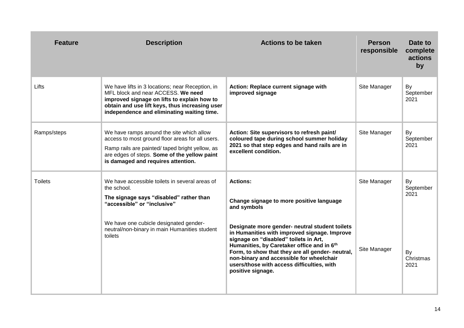| <b>Feature</b> | <b>Description</b>                                                                                                                                                                                                                     | <b>Actions to be taken</b>                                                                                                                                                                                                                                                                                                                               | <b>Person</b><br>responsible | Date to<br>complete<br>actions<br>by |
|----------------|----------------------------------------------------------------------------------------------------------------------------------------------------------------------------------------------------------------------------------------|----------------------------------------------------------------------------------------------------------------------------------------------------------------------------------------------------------------------------------------------------------------------------------------------------------------------------------------------------------|------------------------------|--------------------------------------|
| Lifts          | We have lifts in 3 locations; near Reception, in<br>MFL block and near ACCESS. We need<br>improved signage on lifts to explain how to<br>obtain and use lift keys, thus increasing user<br>independence and eliminating waiting time.  | Action: Replace current signage with<br>improved signage                                                                                                                                                                                                                                                                                                 | Site Manager                 | By<br>September<br>2021              |
| Ramps/steps    | We have ramps around the site which allow<br>access to most ground floor areas for all users.<br>Ramp rails are painted/ taped bright yellow, as<br>are edges of steps. Some of the yellow paint<br>is damaged and requires attention. | Action: Site supervisors to refresh paint/<br>coloured tape during school summer holiday<br>2021 so that step edges and hand rails are in<br>excellent condition.                                                                                                                                                                                        | Site Manager                 | By<br>September<br>2021              |
| <b>Toilets</b> | We have accessible toilets in several areas of<br>the school.<br>The signage says "disabled" rather than<br>"accessible" or "inclusive"                                                                                                | <b>Actions:</b><br>Change signage to more positive language<br>and symbols                                                                                                                                                                                                                                                                               | Site Manager                 | By<br>September<br>2021              |
|                | We have one cubicle designated gender-<br>neutral/non-binary in main Humanities student<br>toilets                                                                                                                                     | Designate more gender- neutral student toilets<br>in Humanities with improved signage. Improve<br>signage on "disabled" toilets in Art,<br>Humanities, by Caretaker office and in 6th<br>Form, to show that they are all gender- neutral,<br>non-binary and accessible for wheelchair<br>users/those with access difficulties, with<br>positive signage. | Site Manager                 | By<br>Christmas<br>2021              |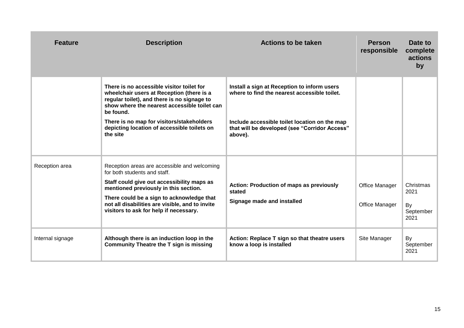| <b>Feature</b>   | <b>Description</b>                                                                                                                                                                                                                                                                                            | <b>Actions to be taken</b>                                                                                                                                                                               | <b>Person</b><br>responsible     | Date to<br>complete<br>actions<br>by         |
|------------------|---------------------------------------------------------------------------------------------------------------------------------------------------------------------------------------------------------------------------------------------------------------------------------------------------------------|----------------------------------------------------------------------------------------------------------------------------------------------------------------------------------------------------------|----------------------------------|----------------------------------------------|
|                  | There is no accessible visitor toilet for<br>wheelchair users at Reception (there is a<br>regular toilet), and there is no signage to<br>show where the nearest accessible toilet can<br>be found.<br>There is no map for visitors/stakeholders<br>depicting location of accessible toilets on<br>the site    | Install a sign at Reception to inform users<br>where to find the nearest accessible toilet.<br>Include accessible toilet location on the map<br>that will be developed (see "Corridor Access"<br>above). |                                  |                                              |
| Reception area   | Reception areas are accessible and welcoming<br>for both students and staff.<br>Staff could give out accessibility maps as<br>mentioned previously in this section.<br>There could be a sign to acknowledge that<br>not all disabilities are visible, and to invite<br>visitors to ask for help if necessary. | <b>Action: Production of maps as previously</b><br>stated<br>Signage made and installed                                                                                                                  | Office Manager<br>Office Manager | Christmas<br>2021<br>By<br>September<br>2021 |
| Internal signage | Although there is an induction loop in the<br><b>Community Theatre the T sign is missing</b>                                                                                                                                                                                                                  | Action: Replace T sign so that theatre users<br>know a loop is installed                                                                                                                                 | Site Manager                     | By<br>September<br>2021                      |